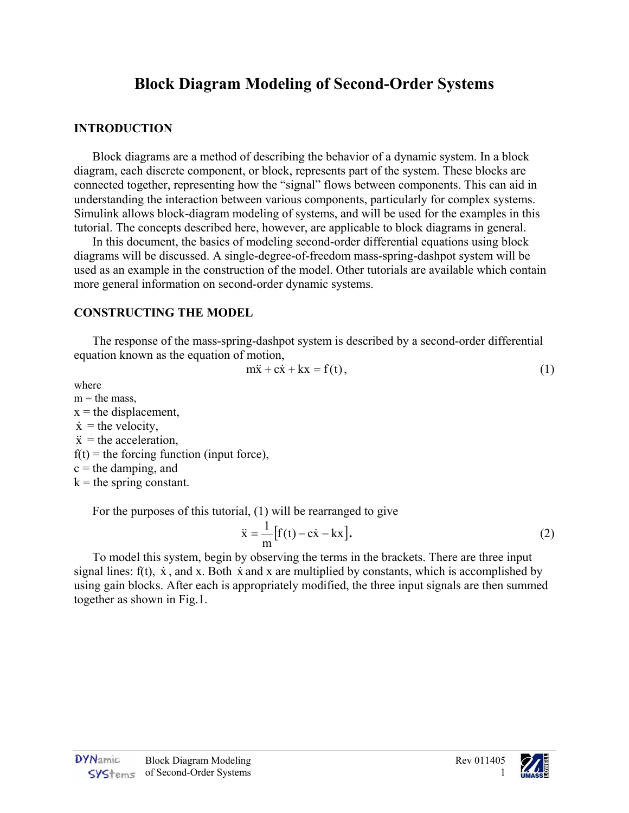## **Block Diagram Modeling of Second-Order Systems**

## **INTRODUCTION**

Block diagrams are a method of describing the behavior of a dynamic system. In a block diagram, each discrete component, or block, represents part of the system. These blocks are connected together, representing how the "signal" flows between components. This can aid in understanding the interaction between various components, particularly for complex systems. Simulink allows block-diagram modeling of systems, and will be used for the examples in this tutorial. The concepts described here, however, are applicable to block diagrams in general.

In this document, the basics of modeling second-order differential equations using block diagrams will be discussed. A single-degree-of-freedom mass-spring-dashpot system will be used as an example in the construction of the model. Other tutorials are available which contain more general information on second-order dynamic systems.

## **CONSTRUCTING THE MODEL**

The response of the mass-spring-dashpot system is described by a second-order differential equation known as the equation of motion,

$$
m\ddot{x} + c\dot{x} + kx = f(t),
$$
\n(1)

where

 $m =$  the mass.  $x =$  the displacement,  $\dot{x}$  = the velocity,  $\ddot{x}$  = the acceleration,  $f(t)$  = the forcing function (input force),  $c =$  the damping, and  $k =$  the spring constant.

For the purposes of this tutorial, (1) will be rearranged to give

$$
\ddot{x} = \frac{1}{m} [f(t) - c\dot{x} - kx].
$$
 (2)

To model this system, begin by observing the terms in the brackets. There are three input signal lines:  $f(t)$ ,  $\dot{x}$ , and x. Both  $\dot{x}$  and x are multiplied by constants, which is accomplished by using gain blocks. After each is appropriately modified, the three input signals are then summed together as shown in Fig.1.

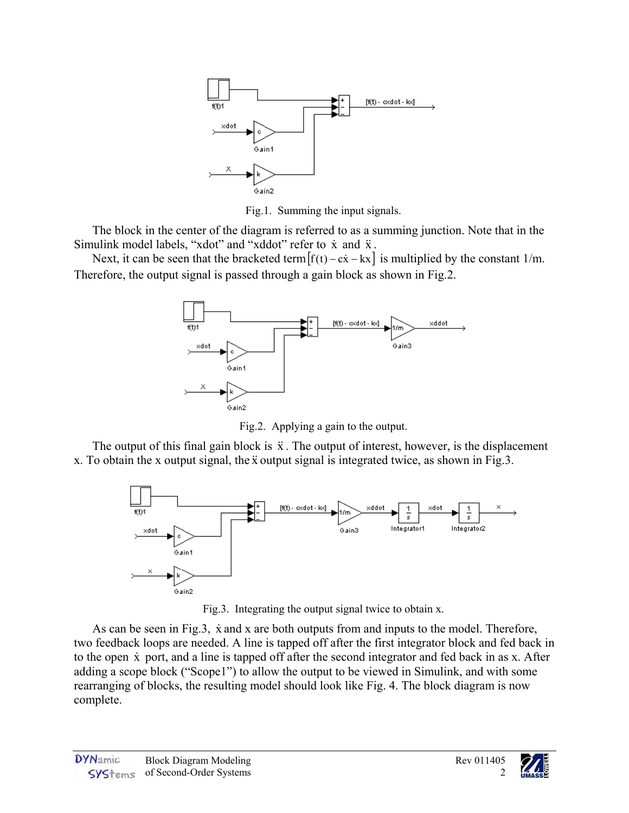

Fig.1. Summing the input signals. Fig.1. Summing the input signals.

The block in the center of the diagram is referred to as a summing junction. Note that in the Simulink model labels, "xdot" and "xddot" refer to  $\dot{x}$  and  $\ddot{x}$ .

Next, it can be seen that the bracketed term  $[f(t) - c\dot{x} - kx]$  is multiplied by the constant 1/m. Therefore, the output signal is passed through a gain block as shown in Fig.2.



Fig.2. Applying a gain to the output. Fig.2. Applying a gain to the output.

The output of this final gain block is  $\ddot{x}$ . The output of interest, however, is the displacement x. To obtain the x output signal, the x output signal is integrated twice, as shown in Fig.3.



Fig.3. Integrating the output signal twice to obtain x. Fig.3. Integrating the output signal twice to obtain x.

As can be seen in Fig.3,  $\dot{x}$  and x are both outputs from and inputs to the model. Therefore, two feedback loops are needed. A line is tapped off after the first integrator block and fed back in to the open  $\dot{x}$  port, and a line is tapped off after the second integrator and fed back in as x. After adding a scope block ("Scope1") to allow the output to be viewed in Simulink, and with some rearranging of blocks, the resulting model should look like Fig. 4. The block diagram is now complete.

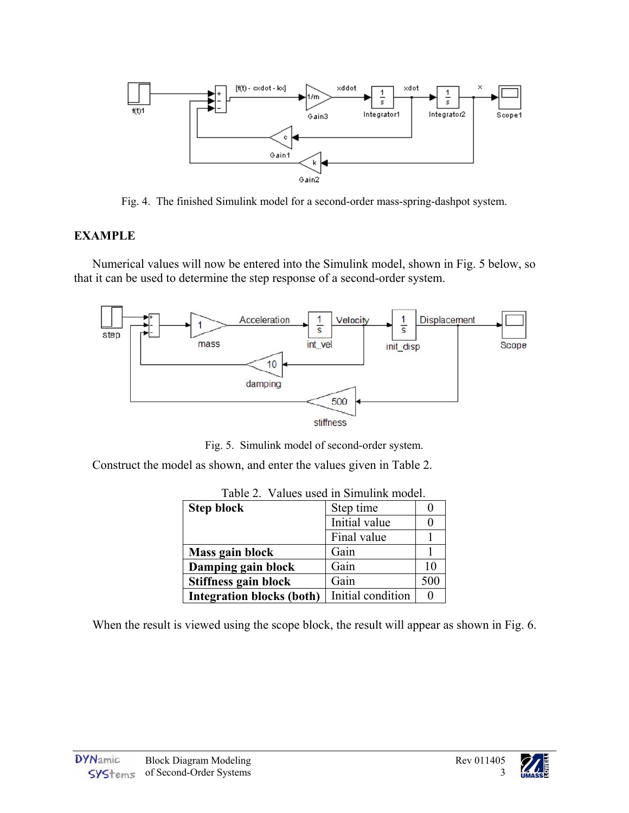

Fig. 4. The finished Simulink model for a second-order mass-spring-dashpot system. Fig. 4. The finished Simulink model for a second-order mass-spring-dashpot system.

## **EXAMPLE**

Numerical values will now be entered into the Simulink model, shown in Fig. 5 below, so that it can be used to determine the step response of a second-order system.



Fig. 5. Simulink model of second-order system. Fig. 5. Simulink model of second-order system.

Construct the model as shown, and enter the values given in Table 2.

| <b>Step block</b>                | Step time         |     |
|----------------------------------|-------------------|-----|
|                                  | Initial value     |     |
|                                  | Final value       |     |
| Mass gain block                  | Gain              |     |
| Damping gain block               | Gain              | 10  |
| Stiffness gain block             | Gain              | 500 |
| <b>Integration blocks (both)</b> | Initial condition | 0   |

|  | Table 2. Values used in Simulink model. |
|--|-----------------------------------------|
|--|-----------------------------------------|

When the result is viewed using the scope block, the result will appear as shown in Fig. 6.